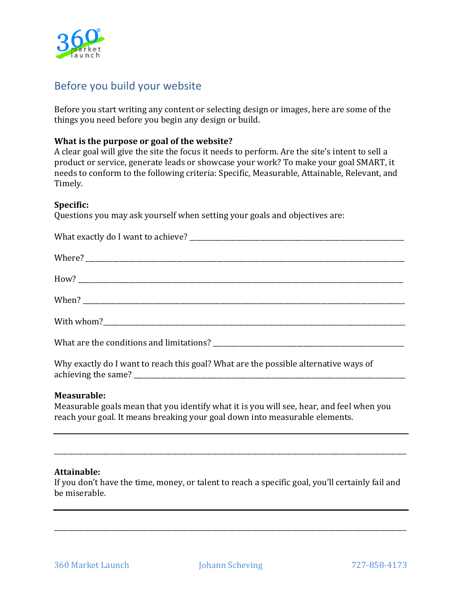

# Before you build your website

Before you start writing any content or selecting design or images, here are some of the things you need before you begin any design or build.

## **What is the purpose or goal of the website?**

A clear goal will give the site the focus it needs to perform. Are the site's intent to sell a product or service, generate leads or showcase your work? To make your goal SMART, it needs to conform to the following criteria: Specific, Measurable, Attainable, Relevant, and Timely.

## **Specific:**

Questions you may ask yourself when setting your goals and objectives are:

Why exactly do I want to reach this goal? What are the possible alternative ways of achieving the same?

# **Measurable:**

Measurable goals mean that you identify what it is you will see, hear, and feel when you reach your goal. It means breaking your goal down into measurable elements.

## **Attainable:**

If you don't have the time, money, or talent to reach a specific goal, you'll certainly fail and be miserable.

\_\_\_\_\_\_\_\_\_\_\_\_\_\_\_\_\_\_\_\_\_\_\_\_\_\_\_\_\_\_\_\_\_\_\_\_\_\_\_\_\_\_\_\_\_\_\_\_\_\_\_\_\_\_\_\_\_\_\_\_\_\_\_\_\_\_\_\_\_\_\_\_\_\_\_\_\_\_\_\_\_\_\_\_\_\_\_\_\_\_\_\_\_\_\_\_\_\_\_\_\_\_\_\_\_

\_\_\_\_\_\_\_\_\_\_\_\_\_\_\_\_\_\_\_\_\_\_\_\_\_\_\_\_\_\_\_\_\_\_\_\_\_\_\_\_\_\_\_\_\_\_\_\_\_\_\_\_\_\_\_\_\_\_\_\_\_\_\_\_\_\_\_\_\_\_\_\_\_\_\_\_\_\_\_\_\_\_\_\_\_\_\_\_\_\_\_\_\_\_\_\_\_\_\_\_\_\_\_\_\_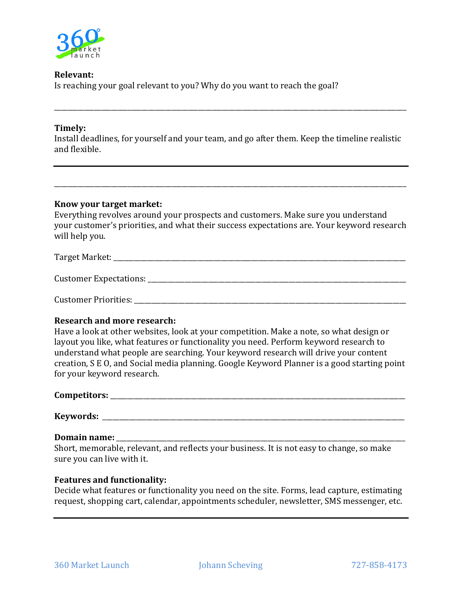

# **Relevant:**

Is reaching your goal relevant to you? Why do you want to reach the goal?

## **Timely:**

Install deadlines, for yourself and your team, and go after them. Keep the timeline realistic and flexible.

\_\_\_\_\_\_\_\_\_\_\_\_\_\_\_\_\_\_\_\_\_\_\_\_\_\_\_\_\_\_\_\_\_\_\_\_\_\_\_\_\_\_\_\_\_\_\_\_\_\_\_\_\_\_\_\_\_\_\_\_\_\_\_\_\_\_\_\_\_\_\_\_\_\_\_\_\_\_\_\_\_\_\_\_\_\_\_\_\_\_\_\_\_\_\_\_\_\_\_\_\_\_\_\_\_

## **Know your target market:**

Everything revolves around your prospects and customers. Make sure you understand your customer's priorities, and what their success expectations are. Your keyword research will help you.

\_\_\_\_\_\_\_\_\_\_\_\_\_\_\_\_\_\_\_\_\_\_\_\_\_\_\_\_\_\_\_\_\_\_\_\_\_\_\_\_\_\_\_\_\_\_\_\_\_\_\_\_\_\_\_\_\_\_\_\_\_\_\_\_\_\_\_\_\_\_\_\_\_\_\_\_\_\_\_\_\_\_\_\_\_\_\_\_\_\_\_\_\_\_\_\_\_\_\_\_\_\_\_\_\_

Target Market: \_\_\_\_\_\_\_\_\_\_\_\_\_\_\_\_\_\_\_\_\_\_\_\_\_\_\_\_\_\_\_\_\_\_\_\_\_\_\_\_\_\_\_\_\_\_\_\_\_\_\_\_\_\_\_\_\_\_\_\_\_\_\_\_\_\_\_\_\_\_\_\_\_\_\_\_\_\_\_\_\_\_\_\_\_\_\_

Customer Expectations:  $\Box$ 

Customer Priorities:

## **Research and more research:**

Have a look at other websites, look at your competition. Make a note, so what design or layout you like, what features or functionality you need. Perform keyword research to understand what people are searching. Your keyword research will drive your content creation, S E O, and Social media planning. Google Keyword Planner is a good starting point for your keyword research.

| Competitors: |  |
|--------------|--|
|              |  |

**Keywords:** \_\_\_\_\_\_\_\_\_\_\_\_\_\_\_\_\_\_\_\_\_\_\_\_\_\_\_\_\_\_\_\_\_\_\_\_\_\_\_\_\_\_\_\_\_\_\_\_\_\_\_\_\_\_\_\_\_\_\_\_\_\_\_\_\_\_\_\_\_\_\_\_\_\_\_\_\_\_\_\_\_\_\_\_\_\_\_\_\_\_

## **Domain name:** \_\_\_\_\_\_\_\_\_\_\_\_\_\_\_\_\_\_\_\_\_\_\_\_\_\_\_\_\_\_\_\_\_\_\_\_\_\_\_\_\_\_\_\_\_\_\_\_\_\_\_\_\_\_\_\_\_\_\_\_\_\_\_\_\_\_\_\_\_\_\_\_\_\_\_\_\_\_\_\_\_\_\_\_\_\_

Short, memorable, relevant, and reflects your business. It is not easy to change, so make sure you can live with it.

## **Features and functionality:**

Decide what features or functionality you need on the site. Forms, lead capture, estimating request, shopping cart, calendar, appointments scheduler, newsletter, SMS messenger, etc.